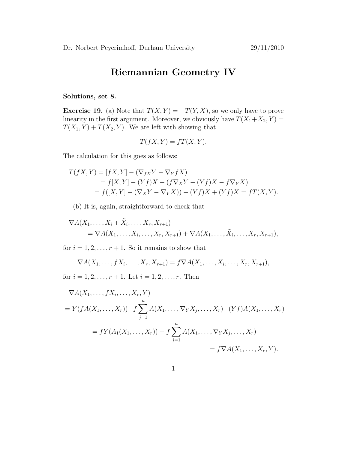## Riemannian Geometry IV

## Solutions, set 8.

**Exercise 19.** (a) Note that  $T(X, Y) = -T(Y, X)$ , so we only have to prove linearity in the first argument. Moreover, we obviously have  $T(X_1+X_2, Y) =$  $T(X_1, Y) + T(X_2, Y)$ . We are left with showing that

$$
T(fX, Y) = fT(X, Y).
$$

The calculation for this goes as follows:

$$
T(fX,Y) = [fX,Y] - (\nabla_{fX}Y - \nabla_{Y}fX)
$$
  
=  $f[X,Y] - (Yf)X - (f\nabla_{X}Y - (Yf)X - f\nabla_{Y}X)$   
=  $f([X,Y] - (\nabla_{X}Y - \nabla_{Y}X)) - (Yf)X + (Yf)X = fT(X,Y).$ 

(b) It is, again, straightforward to check that

$$
\nabla A(X_1,\ldots,X_i+\tilde{X}_i,\ldots,X_r,X_{r+1})
$$
  
= 
$$
\nabla A(X_1,\ldots,X_i,\ldots,X_r,X_{r+1}) + \nabla A(X_1,\ldots,\tilde{X}_i,\ldots,X_r,X_{r+1}),
$$

for  $i = 1, 2, \ldots, r + 1$ . So it remains to show that

$$
\nabla A(X_1,\ldots,fX_i,\ldots,X_r,X_{r+1})=f\nabla A(X_1,\ldots,X_i,\ldots,X_r,X_{r+1}),
$$

for  $i = 1, 2, ..., r + 1$ . Let  $i = 1, 2, ..., r$ . Then

$$
\nabla A(X_1, ..., f X_i, ..., X_r, Y)
$$
  
=  $Y(f A(X_1, ..., X_r)) - f \sum_{j=1}^n A(X_1, ..., \nabla_Y X_j, ..., X_r) - (Yf)A(X_1, ..., X_r)$   
=  $f Y(A_1(X_1, ..., X_r)) - f \sum_{j=1}^n A(X_1, ..., \nabla_Y X_j, ..., X_r)$   
=  $f \nabla A(X_1, ..., X_r, Y).$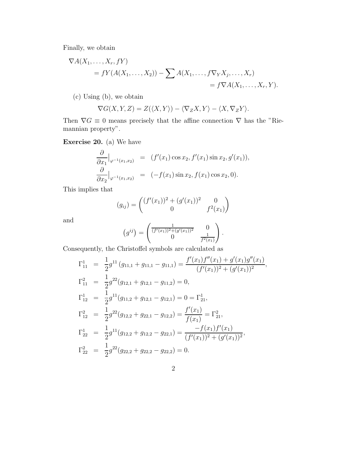Finally, we obtain

$$
\nabla A(X_1, \dots, X_r, fY)
$$
  
=  $fY(A(X_1, \dots, X_2)) - \sum A(X_1, \dots, f\nabla_Y X_j, \dots, X_r)$   
=  $f\nabla A(X_1, \dots, X_r, Y).$ 

(c) Using (b), we obtain

$$
\nabla G(X,Y,Z) = Z(\langle X,Y \rangle) - \langle \nabla_Z X,Y \rangle - \langle X, \nabla_Z Y \rangle.
$$

Then  $\nabla G \equiv 0$  means precisely that the affine connection  $\nabla$  has the "Riemannian property".

Exercise 20. (a) We have

$$
\frac{\partial}{\partial x_1}\Big|_{\varphi^{-1}(x_1,x_2)} = (f'(x_1)\cos x_2, f'(x_1)\sin x_2, g'(x_1)),
$$
  
\n
$$
\frac{\partial}{\partial x_2}\Big|_{\varphi^{-1}(x_1,x_2)} = (-f(x_1)\sin x_2, f(x_1)\cos x_2, 0).
$$

This implies that

$$
(g_{ij}) = \begin{pmatrix} (f'(x_1))^2 + (g'(x_1))^2 & 0\\ 0 & f^2(x_1) \end{pmatrix}
$$

and

$$
(g^{ij}) = \begin{pmatrix} \frac{1}{(f'(x_1))^2 + (g'(x_1))^2} & 0\\ 0 & \frac{1}{f^2(x_1)} \end{pmatrix}.
$$

,

Consequently, the Christoffel symbols are calculated as

$$
\Gamma_{11}^{1} = \frac{1}{2}g^{11}(g_{11,1} + g_{11,1} - g_{11,1}) = \frac{f'(x_1)f''(x_1) + g'(x_1)g''(x_1)}{(f'(x_1))^2 + (g'(x_1))^2}
$$
  
\n
$$
\Gamma_{11}^{2} = \frac{1}{2}g^{22}(g_{12,1} + g_{12,1} - g_{11,2}) = 0,
$$
  
\n
$$
\Gamma_{12}^{1} = \frac{1}{2}g^{11}(g_{11,2} + g_{12,1} - g_{12,1}) = 0 = \Gamma_{21}^{1},
$$
  
\n
$$
\Gamma_{12}^{2} = \frac{1}{2}g^{22}(g_{12,2} + g_{22,1} - g_{12,2}) = \frac{f'(x_1)}{f(x_1)} = \Gamma_{21}^{2},
$$
  
\n
$$
\Gamma_{22}^{1} = \frac{1}{2}g^{11}(g_{12,2} + g_{12,2} - g_{22,1}) = \frac{-f(x_1)f'(x_1)}{(f'(x_1))^2 + (g'(x_1))^2},
$$
  
\n
$$
\Gamma_{22}^{2} = \frac{1}{2}g^{22}(g_{22,2} + g_{22,2} - g_{22,2}) = 0.
$$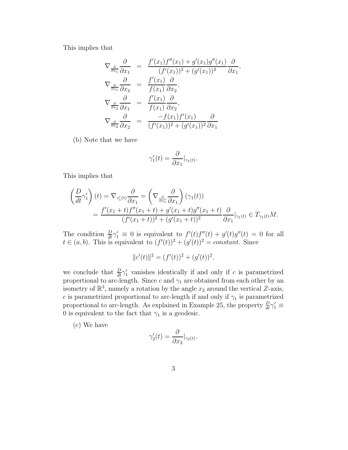This implies that

$$
\nabla_{\frac{\partial}{\partial x_1}} \frac{\partial}{\partial x_1} = \frac{f'(x_1) f''(x_1) + g'(x_1) g''(x_1)}{(f'(x_1))^2 + (g'(x_1))^2} \frac{\partial}{\partial x_1},
$$
  
\n
$$
\nabla_{\frac{\partial}{\partial x_1}} \frac{\partial}{\partial x_2} = \frac{f'(x_1)}{f(x_1)} \frac{\partial}{\partial x_2},
$$
  
\n
$$
\nabla_{\frac{\partial}{\partial x_2}} \frac{\partial}{\partial x_1} = \frac{f'(x_1)}{f(x_1)} \frac{\partial}{\partial x_2},
$$
  
\n
$$
\nabla_{\frac{\partial}{\partial x_2}} \frac{\partial}{\partial x_2} = \frac{-f(x_1) f'(x_1)}{(f'(x_1))^2 + (g'(x_1))^2} \frac{\partial}{\partial x_1}
$$

(b) Note that we have

$$
\gamma_1'(t) = \frac{\partial}{\partial x_1}\big|_{\gamma_1(t)}.
$$

This implies that

$$
\begin{split} \left(\frac{D}{dt}\gamma_1'\right)(t) &= \nabla_{\gamma_1'(t)}\frac{\partial}{\partial x_1} = \left(\nabla_{\frac{\partial}{\partial x_1}}\frac{\partial}{\partial x_1}\right)(\gamma_1(t)) \\ &= \frac{f'(x_1+t)f''(x_1+t) + g'(x_1+t)g''(x_1+t)}{(f'(x_1+t))^2 + (g'(x_1+t))^2}\frac{\partial}{\partial x_1}\big|_{\gamma_1(t)} \in T_{\gamma_1(t)}M. \end{split}
$$

The condition  $\frac{D}{dt}\gamma'_1 \equiv 0$  is equivalent to  $f'(t)f''_2(t) + g'(t)g''(t) = 0$  for all  $t \in (a, b)$ . This is equivalent to  $(f'(t))^2 + (g'(t))^2 = constant$ . Since

$$
||c'(t)||^2 = (f'(t))^2 + (g'(t))^2,
$$

we conclude that  $\frac{D}{dt}\gamma'_1$  vanishes identically if and only if c is parametrized propertional to arc-length. Since c and  $\gamma_1$  are obtained from each other by an isometry of  $\mathbb{R}^3$ , namely a rotation by the angle  $x_2$  around the vertical Z-axis, c is parametrized proportional to arc-length if and only if  $\gamma_1$  is parametrized proportional to arc-length. As explained in Example 25, the property  $\frac{D}{dt}\gamma_1' \equiv$ 0 is equivalent to the fact that  $\gamma_1$  is a geodesic.

(c) We have

$$
\gamma_2'(t) = \frac{\partial}{\partial x_2}\big|_{\gamma_2(t)}.
$$